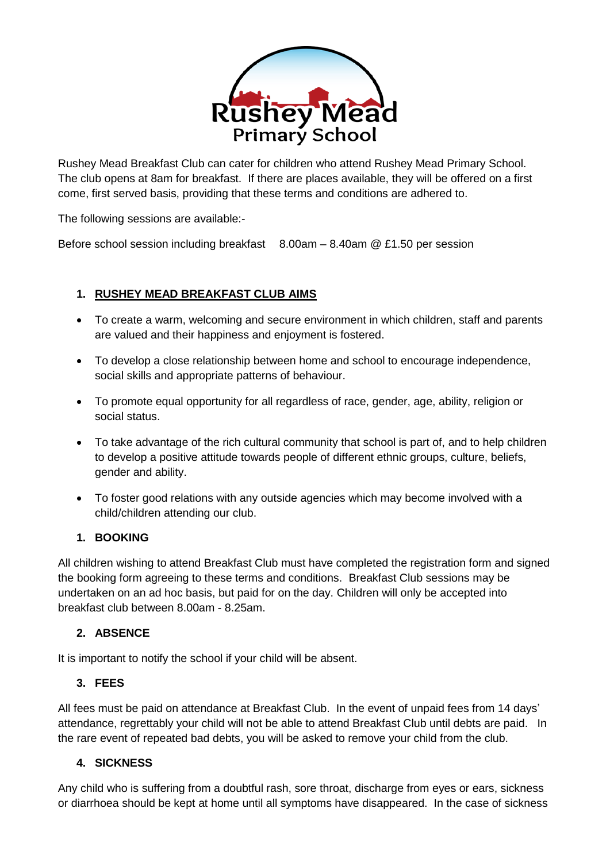

Rushey Mead Breakfast Club can cater for children who attend Rushey Mead Primary School. The club opens at 8am for breakfast. If there are places available, they will be offered on a first come, first served basis, providing that these terms and conditions are adhered to.

The following sessions are available:-

Before school session including breakfast 8.00am – 8.40am @ £1.50 per session

## **1. RUSHEY MEAD BREAKFAST CLUB AIMS**

- To create a warm, welcoming and secure environment in which children, staff and parents are valued and their happiness and enjoyment is fostered.
- To develop a close relationship between home and school to encourage independence, social skills and appropriate patterns of behaviour.
- To promote equal opportunity for all regardless of race, gender, age, ability, religion or social status.
- To take advantage of the rich cultural community that school is part of, and to help children to develop a positive attitude towards people of different ethnic groups, culture, beliefs, gender and ability.
- To foster good relations with any outside agencies which may become involved with a child/children attending our club.

## **1. BOOKING**

All children wishing to attend Breakfast Club must have completed the registration form and signed the booking form agreeing to these terms and conditions. Breakfast Club sessions may be undertaken on an ad hoc basis, but paid for on the day. Children will only be accepted into breakfast club between 8.00am - 8.25am.

## **2. ABSENCE**

It is important to notify the school if your child will be absent.

## **3. FEES**

All fees must be paid on attendance at Breakfast Club. In the event of unpaid fees from 14 days' attendance, regrettably your child will not be able to attend Breakfast Club until debts are paid. In the rare event of repeated bad debts, you will be asked to remove your child from the club.

## **4. SICKNESS**

Any child who is suffering from a doubtful rash, sore throat, discharge from eyes or ears, sickness or diarrhoea should be kept at home until all symptoms have disappeared. In the case of sickness